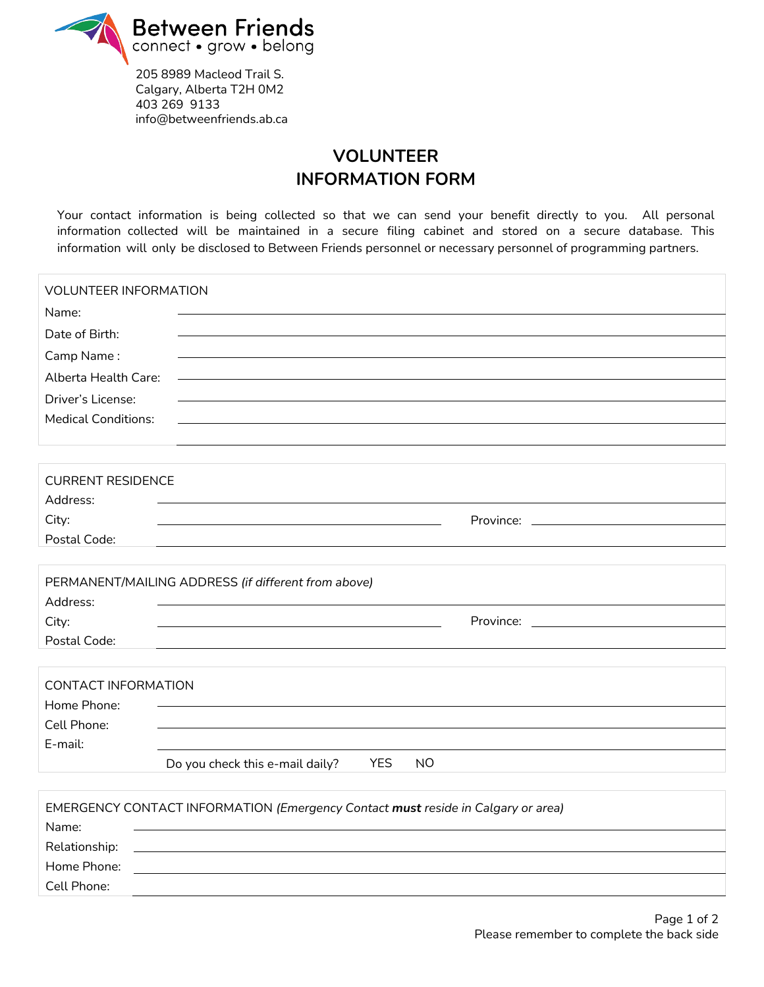

Cell Phone:

205 8989 Macleod Trail S. Calgary, Alberta T2H 0M2 403 269 9133 info@betweenfriends.ab.ca

## **VOLUNTEER INFORMATION FORM**

Your contact information is being collected so that we can send your benefit directly to you. All personal information collected will be maintained in a secure filing cabinet and stored on a secure database. This information will only be disclosed to Between Friends personnel or necessary personnel of programming partners.

| <b>VOLUNTEER INFORMATION</b> |                                                                                  |
|------------------------------|----------------------------------------------------------------------------------|
| Name:                        |                                                                                  |
| Date of Birth:               |                                                                                  |
| Camp Name:                   |                                                                                  |
| Alberta Health Care:         |                                                                                  |
| Driver's License:            |                                                                                  |
| <b>Medical Conditions:</b>   |                                                                                  |
|                              |                                                                                  |
|                              |                                                                                  |
| <b>CURRENT RESIDENCE</b>     |                                                                                  |
| Address:                     |                                                                                  |
| City:                        | Province: New York Province:                                                     |
| Postal Code:                 |                                                                                  |
|                              |                                                                                  |
|                              | PERMANENT/MAILING ADDRESS (if different from above)                              |
| Address:                     |                                                                                  |
| City:                        |                                                                                  |
| Postal Code:                 |                                                                                  |
|                              |                                                                                  |
| <b>CONTACT INFORMATION</b>   |                                                                                  |
| Home Phone:                  |                                                                                  |
| Cell Phone:                  |                                                                                  |
| E-mail:                      |                                                                                  |
|                              | <b>YES</b><br>Do you check this e-mail daily?<br>N <sub>O</sub>                  |
|                              |                                                                                  |
|                              | EMERGENCY CONTACT INFORMATION (Emergency Contact must reside in Calgary or area) |
| Name:                        |                                                                                  |
| Relationship:                |                                                                                  |
| Home Phone:                  |                                                                                  |